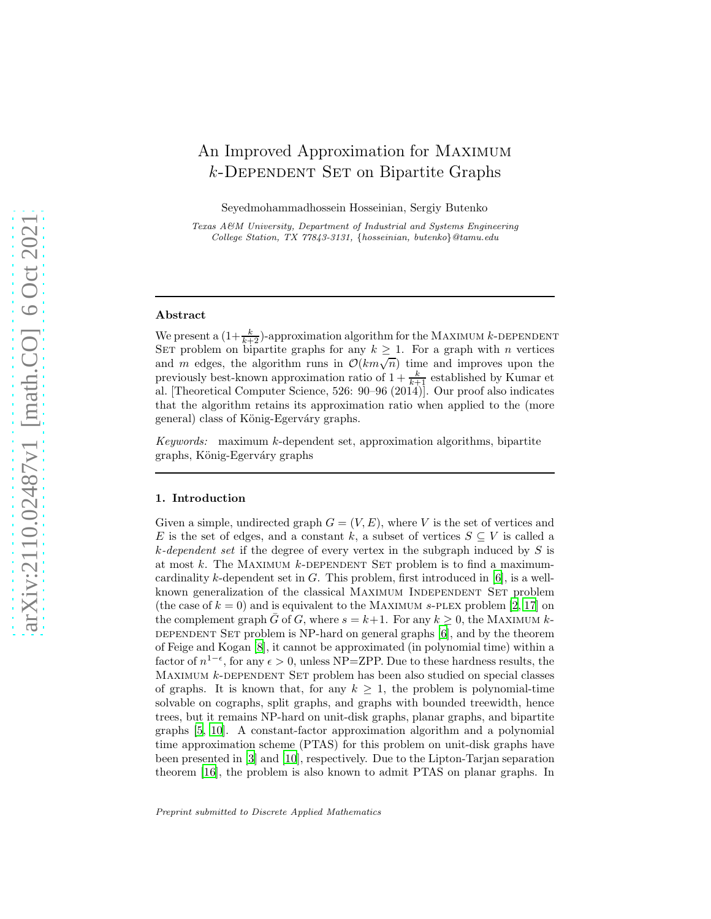# An Improved Approximation for Maximum  $k$ -DEPENDENT SET on Bipartite Graphs

Seyedmohammadhossein Hosseinian, Sergiy Butenko

Texas A&M University, Department of Industrial and Systems Engineering College Station, TX 77843-3131, {hosseinian, butenko}@tamu.edu

#### Abstract

We present a  $(1+\frac{k}{k+2})$ -approximation algorithm for the MAXIMUM k-DEPENDENT SET problem on bipartite graphs for any  $k \geq 1$ . For a graph with *n* vertices and m edges, the algorithm runs in  $\mathcal{O}(km\sqrt{n})$  time and improves upon the previously best-known approximation ratio of  $1 + \frac{k}{k+1}$  established by Kumar et al. [Theoretical Computer Science, 526: 90–96 (2014)]. Our proof also indicates that the algorithm retains its approximation ratio when applied to the (more general) class of König-Egerváry graphs.

*Keywords:* maximum k-dependent set, approximation algorithms, bipartite graphs, König-Egerváry graphs

#### 1. Introduction

Given a simple, undirected graph  $G = (V, E)$ , where V is the set of vertices and E is the set of edges, and a constant k, a subset of vertices  $S \subseteq V$  is called a k*-dependent set* if the degree of every vertex in the subgraph induced by S is at most k. The MAXIMUM k-DEPENDENT SET problem is to find a maximumcardinality k-dependent set in  $G$ . This problem, first introduced in  $[6]$ , is a wellknown generalization of the classical MAXIMUM INDEPENDENT SET problem (the case of  $k = 0$ ) and is equivalent to the MAXIMUM s-PLEX problem [\[2](#page-9-0), [17\]](#page-10-1) on the complement graph  $\bar{G}$  of G, where  $s = k+1$ . For any  $k \geq 0$ , the MAXIMUM k-DEPENDENT SET problem is NP-hard on general graphs  $[6]$ , and by the theorem of Feige and Kogan [\[8](#page-10-2)], it cannot be approximated (in polynomial time) within a factor of  $n^{1-\epsilon}$ , for any  $\epsilon > 0$ , unless NP=ZPP. Due to these hardness results, the MAXIMUM  $k$ -DEPENDENT SET problem has been also studied on special classes of graphs. It is known that, for any  $k \geq 1$ , the problem is polynomial-time solvable on cographs, split graphs, and graphs with bounded treewidth, hence trees, but it remains NP-hard on unit-disk graphs, planar graphs, and bipartite graphs [\[5,](#page-9-1) [10\]](#page-10-3). A constant-factor approximation algorithm and a polynomial time approximation scheme (PTAS) for this problem on unit-disk graphs have been presented in [\[3\]](#page-9-2) and [\[10\]](#page-10-3), respectively. Due to the Lipton-Tarjan separation theorem [\[16\]](#page-10-4), the problem is also known to admit PTAS on planar graphs. In

Preprint submitted to Discrete Applied Mathematics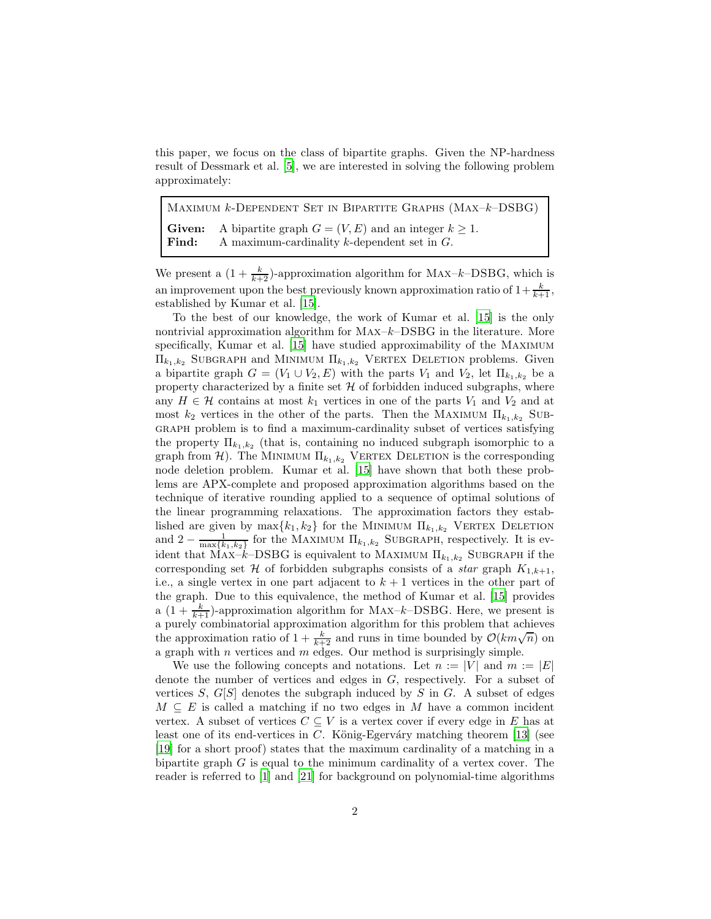this paper, we focus on the class of bipartite graphs. Given the NP-hardness result of Dessmark et al. [\[5\]](#page-9-1), we are interested in solving the following problem approximately:

MAXIMUM  $k$ -DEPENDENT SET IN BIPARTITE GRAPHS (MAX– $k$ –DSBG) **Given:** A bipartite graph  $G = (V, E)$  and an integer  $k \geq 1$ .<br>**Find:** A maximum-cardinality k-dependent set in G. A maximum-cardinality  $k$ -dependent set in  $G$ .

We present a  $(1 + \frac{k}{k+2})$ -approximation algorithm for MAX-k-DSBG, which is an improvement upon the best previously known approximation ratio of  $1+\frac{k}{k+1}$ , established by Kumar et al. [\[15\]](#page-10-5).

To the best of our knowledge, the work of Kumar et al. [\[15\]](#page-10-5) is the only nontrivial approximation algorithm for  $MAX-k-DSBG$  in the literature. More specifically, Kumar et al. [\[15\]](#page-10-5) have studied approximability of the Maximum  $\Pi_{k_1,k_2}$  SUBGRAPH and MINIMUM  $\Pi_{k_1,k_2}$  VERTEX DELETION problems. Given a bipartite graph  $G = (V_1 \cup V_2, E)$  with the parts  $V_1$  and  $V_2$ , let  $\Pi_{k_1,k_2}$  be a property characterized by a finite set  $H$  of forbidden induced subgraphs, where any  $H \in \mathcal{H}$  contains at most  $k_1$  vertices in one of the parts  $V_1$  and  $V_2$  and at most  $k_2$  vertices in the other of the parts. Then the MAXIMUM  $\Pi_{k_1,k_2}$  Subgraph problem is to find a maximum-cardinality subset of vertices satisfying the property  $\Pi_{k_1,k_2}$  (that is, containing no induced subgraph isomorphic to a graph from  $\mathcal{H}$ ). The MINIMUM  $\Pi_{k_1,k_2}$  VERTEX DELETION is the corresponding node deletion problem. Kumar et al. [\[15](#page-10-5)] have shown that both these problems are APX-complete and proposed approximation algorithms based on the technique of iterative rounding applied to a sequence of optimal solutions of the linear programming relaxations. The approximation factors they established are given by  $\max\{k_1, k_2\}$  for the MINIMUM  $\Pi_{k_1, k_2}$  VERTEX DELETION and  $2 - \frac{1}{\max\{k_1, k_2\}}$  for the MAXIMUM  $\Pi_{k_1, k_2}$  SUBGRAPH, respectively. It is evident that  $\widehat{MAX-k}$ – $\widehat{D}SBG$  is equivalent to MAXIMUM  $\Pi_{k_1,k_2}$  SUBGRAPH if the corresponding set  $H$  of forbidden subgraphs consists of a *star* graph  $K_{1,k+1}$ , i.e., a single vertex in one part adjacent to  $k + 1$  vertices in the other part of the graph. Due to this equivalence, the method of Kumar et al. [\[15\]](#page-10-5) provides a  $(1 + \frac{k}{k+1})$ -approximation algorithm for MAX-k-DSBG. Here, we present is a purely combinatorial approximation algorithm for this problem that achieves the approximation ratio of  $1 + \frac{k}{k+2}$  and runs in time bounded by  $\mathcal{O}(km\sqrt{n})$  on a graph with  $n$  vertices and  $m$  edges. Our method is surprisingly simple.

We use the following concepts and notations. Let  $n := |V|$  and  $m := |E|$ denote the number of vertices and edges in G, respectively. For a subset of vertices  $S, G[S]$  denotes the subgraph induced by  $S$  in  $G$ . A subset of edges  $M \subseteq E$  is called a matching if no two edges in M have a common incident vertex. A subset of vertices  $C \subseteq V$  is a vertex cover if every edge in E has at least one of its end-vertices in C. König-Egerváry matching theorem [\[13](#page-10-6)] (see [\[19\]](#page-10-7) for a short proof) states that the maximum cardinality of a matching in a bipartite graph  $G$  is equal to the minimum cardinality of a vertex cover. The reader is referred to [\[1\]](#page-9-3) and [\[21\]](#page-11-0) for background on polynomial-time algorithms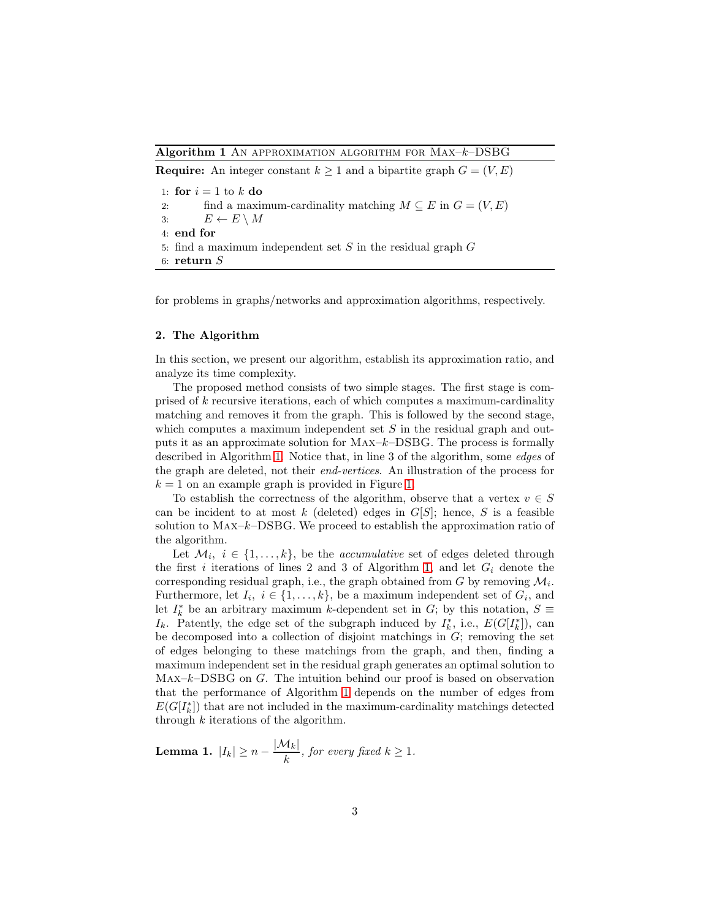#### <span id="page-2-0"></span>Algorithm 1 AN APPROXIMATION ALGORITHM FOR  $Max-k-DSBG$

**Require:** An integer constant  $k \geq 1$  and a bipartite graph  $G = (V, E)$ 1: for  $i = 1$  to  $k$  do 2: find a maximum-cardinality matching  $M \subseteq E$  in  $G = (V, E)$ <br>3:  $E \leftarrow E \setminus M$  $E \leftarrow E \setminus M$ 4: end for 5: find a maximum independent set  $S$  in the residual graph  $G$ 6: return S

for problems in graphs/networks and approximation algorithms, respectively.

#### 2. The Algorithm

In this section, we present our algorithm, establish its approximation ratio, and analyze its time complexity.

The proposed method consists of two simple stages. The first stage is comprised of k recursive iterations, each of which computes a maximum-cardinality matching and removes it from the graph. This is followed by the second stage, which computes a maximum independent set  $S$  in the residual graph and outputs it as an approximate solution for  $MAX-k-DSBG$ . The process is formally described in Algorithm [1.](#page-2-0) Notice that, in line 3 of the algorithm, some *edges* of the graph are deleted, not their *end-vertices*. An illustration of the process for  $k = 1$  on an example graph is provided in Figure [1.](#page-3-0)

To establish the correctness of the algorithm, observe that a vertex  $v \in S$ can be incident to at most k (deleted) edges in  $G[S]$ ; hence, S is a feasible solution to  $MAX-k-DSBG$ . We proceed to establish the approximation ratio of the algorithm.

Let  $\mathcal{M}_i$ ,  $i \in \{1, \ldots, k\}$ , be the *accumulative* set of edges deleted through the first i iterations of lines 2 and 3 of Algorithm [1,](#page-2-0) and let  $G_i$  denote the corresponding residual graph, i.e., the graph obtained from  $G$  by removing  $\mathcal{M}_i$ . Furthermore, let  $I_i, i \in \{1, ..., k\}$ , be a maximum independent set of  $G_i$ , and let  $I_k^*$  be an arbitrary maximum k-dependent set in  $G$ ; by this notation,  $S \equiv$  $I_k$ . Patently, the edge set of the subgraph induced by  $I_k^*$ , i.e.,  $E(G[I_k^*])$ , can be decomposed into a collection of disjoint matchings in  $G$ ; removing the set of edges belonging to these matchings from the graph, and then, finding a maximum independent set in the residual graph generates an optimal solution to  $MAX-k-DSBG$  on G. The intuition behind our proof is based on observation that the performance of Algorithm [1](#page-2-0) depends on the number of edges from  $E(G[I_k^*])$  that are not included in the maximum-cardinality matchings detected through  $k$  iterations of the algorithm.

<span id="page-2-1"></span>**Lemma 1.**  $|I_k| \ge n - \frac{|\mathcal{M}_k|}{k}$  $\frac{f(k)}{k}$ , for every fixed  $k \geq 1$ .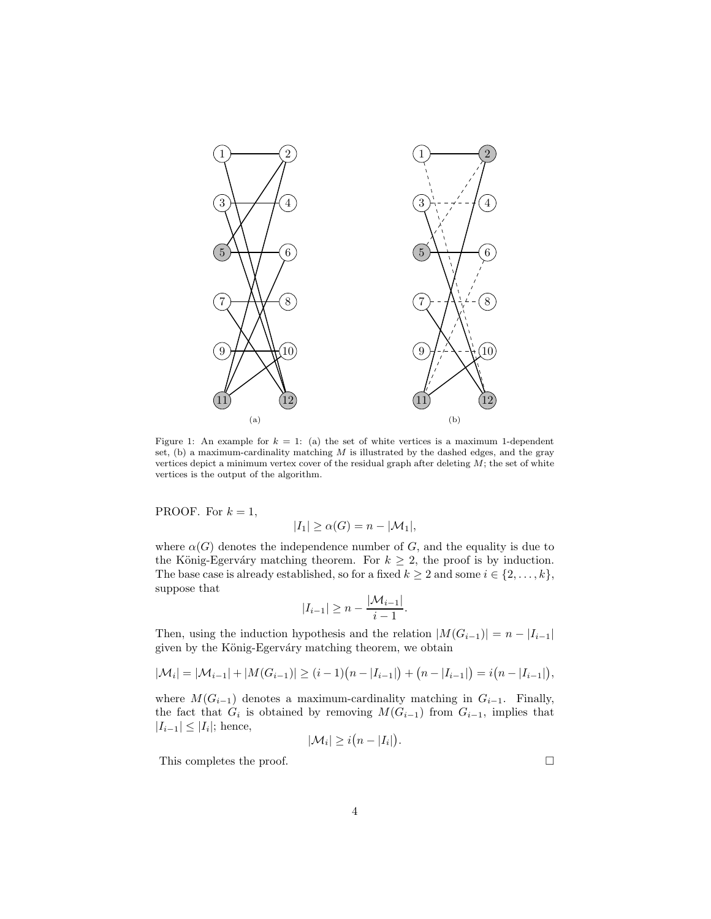<span id="page-3-0"></span>

Figure 1: An example for  $k = 1$ : (a) the set of white vertices is a maximum 1-dependent set,  $(b)$  a maximum-cardinality matching  $M$  is illustrated by the dashed edges, and the gray vertices depict a minimum vertex cover of the residual graph after deleting  $M$ ; the set of white vertices is the output of the algorithm.

PROOF. For  $k = 1$ ,

$$
|I_1| \ge \alpha(G) = n - |\mathcal{M}_1|,
$$

where  $\alpha(G)$  denotes the independence number of G, and the equality is due to the König-Egerváry matching theorem. For  $k \geq 2$ , the proof is by induction. The base case is already established, so for a fixed  $k \geq 2$  and some  $i \in \{2, \ldots, k\}$ , suppose that

$$
|I_{i-1}| \ge n - \frac{|\mathcal{M}_{i-1}|}{i-1}.
$$

Then, using the induction hypothesis and the relation  $|M(G_{i-1})| = n - |I_{i-1}|$ given by the König-Egerváry matching theorem, we obtain

$$
|\mathcal{M}_i| = |\mathcal{M}_{i-1}| + |M(G_{i-1})| \ge (i-1)(n-|I_{i-1}|) + (n-|I_{i-1}|) = i(n-|I_{i-1}|),
$$

where  $M(G_{i-1})$  denotes a maximum-cardinality matching in  $G_{i-1}$ . Finally, the fact that  $G_i$  is obtained by removing  $M(G_{i-1})$  from  $G_{i-1}$ , implies that  $|I_{i-1}| \leq |I_i|$ ; hence,

$$
|\mathcal{M}_i| \geq i\big(n-|I_i|\big).
$$

This completes the proof.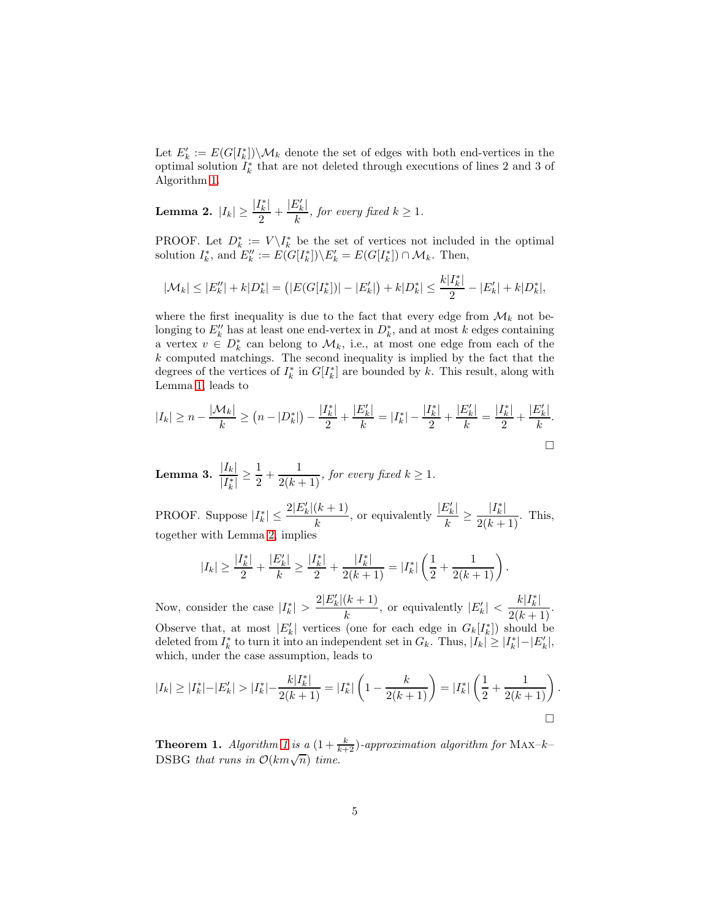Let  $E'_{k} := E(G[I_{k}^{*}]) \setminus \mathcal{M}_{k}$  denote the set of edges with both end-vertices in the optimal solution  $I_k^*$  that are not deleted through executions of lines 2 and 3 of Algorithm [1.](#page-2-0)

<span id="page-4-0"></span>Lemma 2.  $|I_k|\geq \frac{|I_k^*|}{2}$  $\frac{|I_k^*|}{2} + \frac{|E_k'|}{k}$  $\frac{f(k)}{k}$ , for every fixed  $k \geq 1$ .

PROOF. Let  $D_k^* := V \setminus I_k^*$  be the set of vertices not included in the optimal solution  $I_k^*$ , and  $E_k'' := E(G[I_k^*]) \setminus E_k' = E(G[I_k^*]) \cap \mathcal{M}_k$ . Then,

$$
|\mathcal{M}_k| \leq |E''_k| + k|D_k^*| = (|E(G[I_k^*])| - |E'_k|) + k|D_k^*| \leq \frac{k|I_k^*|}{2} - |E'_k| + k|D_k^*|,
$$

where the first inequality is due to the fact that every edge from  $\mathcal{M}_k$  not belonging to  $E''_k$  has at least one end-vertex in  $D_k^*$ , and at most k edges containing a vertex  $v \in D_k^*$  can belong to  $\mathcal{M}_k$ , i.e., at most one edge from each of the k computed matchings. The second inequality is implied by the fact that the degrees of the vertices of  $I_k^*$  in  $G[I_k^*]$  are bounded by k. This result, along with Lemma [1,](#page-2-1) leads to

$$
|I_k| \ge n - \frac{|\mathcal{M}_k|}{k} \ge (n - |D_k^*|) - \frac{|I_k^*|}{2} + \frac{|E_k'|}{k} = |I_k^*| - \frac{|I_k^*|}{2} + \frac{|E_k'|}{k} = \frac{|I_k^*|}{2} + \frac{|E_k'|}{k}.
$$

<span id="page-4-1"></span>Lemma 3.  $\frac{|I_k|}{|I_k^*|}$  $\frac{1}{|I_k^*|} \geq$ 1  $\frac{1}{2} + \frac{1}{2(k+1)}$ *, for every fixed*  $k \geq 1$ *.* 

PROOF. Suppose  $|I_k^*| \leq \frac{2|E_k'(k+1)|}{k}$  $\frac{(k+1)}{k}$ , or equivalently  $\frac{|E'_k|}{k}$  $\frac{|E'_k|}{k} \ge \frac{|I_k^*|}{2(k+1)}$ . This, together with Lemma [2,](#page-4-0) implies

$$
|I_k|\geq \frac{|I_k^*|}{2}+\frac{|E_k'|}{k}\geq \frac{|I_k^*|}{2}+\frac{|I_k^*|}{2(k+1)}=|I_k^*|\left(\frac{1}{2}+\frac{1}{2(k+1)}\right).
$$

Now, consider the case  $|I_k^*| > \frac{2|E_k'|(k+1)}{k}$  $\frac{(k+1)}{k}$ , or equivalently  $|E'_k| < \frac{k|I_k^*|}{2(k+1)}$ . Observe that, at most  $|E'_k|$  vertices (one for each edge in  $G_k[I_k^*])$  should be deleted from  $I_k^*$  to turn it into an independent set in  $G_k$ . Thus,  $|I_k| \geq |I_k^*| - |E'_k|$ , which, under the case assumption, leads to

$$
|I_k| \ge |I_k^*| - |E'_k| > |I_k^*| - \frac{k|I_k^*|}{2(k+1)} = |I_k^*| \left(1 - \frac{k}{2(k+1)}\right) = |I_k^*| \left(\frac{1}{2} + \frac{1}{2(k+1)}\right)
$$

.

**Theorem [1](#page-2-0).** Algorithm 1 is a  $(1 + \frac{k}{k+2})$ -approximation algorithm for MAX-k-DSBG *that runs in*  $\mathcal{O}(km\sqrt{n})$  *time.*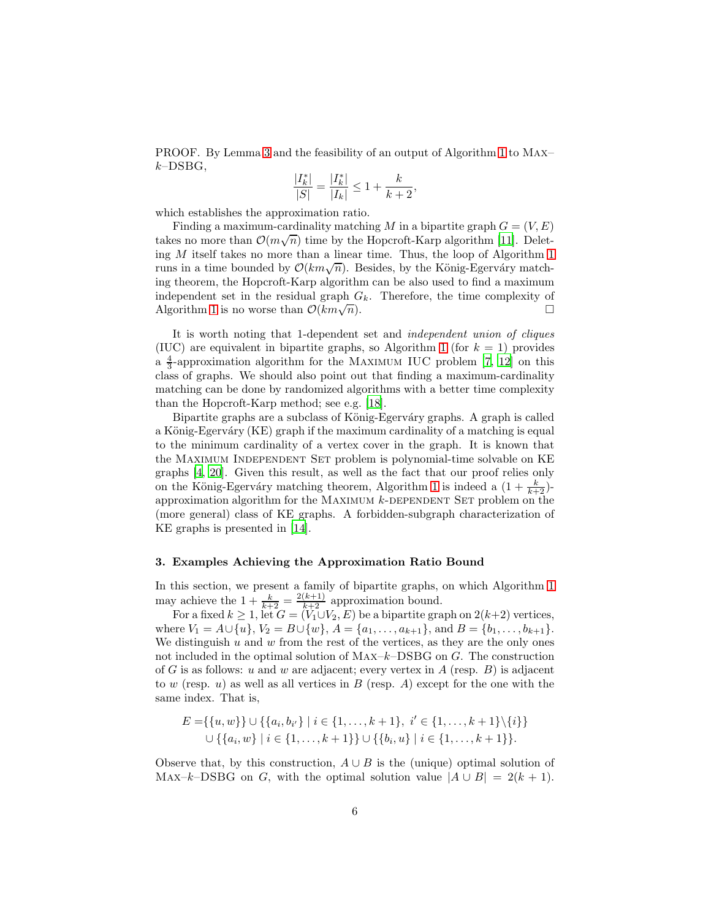PROOF. By Lemma [3](#page-4-1) and the feasibility of an output of Algorithm [1](#page-2-0) to Max–  $k$ -DSBG,

$$
\frac{|I_k^*|}{|S|} = \frac{|I_k^*|}{|I_k|} \le 1 + \frac{k}{k+2},
$$

which establishes the approximation ratio.

Finding a maximum-cardinality matching M in a bipartite graph  $G = (V, E)$ takes no more than  $\mathcal{O}(m\sqrt{n})$  time by the Hopcroft-Karp algorithm [\[11](#page-10-8)]. Deleting  $M$  itself takes no more than a linear time. Thus, the loop of Algorithm [1](#page-2-0) runs in a time bounded by  $\mathcal{O}(km\sqrt{n})$ . Besides, by the König-Egerváry matching theorem, the Hopcroft-Karp algorithm can be also used to find a maximum independent set in the residual graph  $G_k$ . Therefore, the time complexity of Algorithm [1](#page-2-0) is no worse than  $\mathcal{O}(km\sqrt{n})$ .  $\overline{n}$ ).

It is worth noting that 1-dependent set and *independent union of cliques* (IUC) are equivalent in bipartite graphs, so Algorithm [1](#page-2-0) (for  $k = 1$ ) provides a  $\frac{4}{3}$ -approximation algorithm for the MAXIMUM IUC problem [\[7,](#page-10-9) [12\]](#page-10-10) on this class of graphs. We should also point out that finding a maximum-cardinality matching can be done by randomized algorithms with a better time complexity than the Hopcroft-Karp method; see e.g. [\[18\]](#page-10-11).

Bipartite graphs are a subclass of König-Egerváry graphs. A graph is called a König-Egerváry (KE) graph if the maximum cardinality of a matching is equal to the minimum cardinality of a vertex cover in the graph. It is known that the Maximum Independent Set problem is polynomial-time solvable on KE graphs [\[4](#page-9-4), [20\]](#page-11-1). Given this result, as well as the fact that our proof relies only on the König-Egerváry matching theorem, Algorithm [1](#page-2-0) is indeed a  $(1 + \frac{k}{k+2})$ approximation algorithm for the MAXIMUM  $k$ -DEPENDENT SET problem on the (more general) class of KE graphs. A forbidden-subgraph characterization of KE graphs is presented in [\[14\]](#page-10-12).

## 3. Examples Achieving the Approximation Ratio Bound

In this section, we present a family of bipartite graphs, on which Algorithm [1](#page-2-0) may achieve the  $1 + \frac{k}{k+2} = \frac{2(k+1)}{k+2}$  approximation bound.

For a fixed  $k \ge 1$ , let  $G = (V_1 \cup V_2, E)$  be a bipartite graph on  $2(k+2)$  vertices, where  $V_1 = A \cup \{u\}, V_2 = B \cup \{w\}, A = \{a_1, \ldots, a_{k+1}\}, \text{and } B = \{b_1, \ldots, b_{k+1}\}.$ We distinguish  $u$  and  $w$  from the rest of the vertices, as they are the only ones not included in the optimal solution of  $MAX-k-DSBG$  on  $G$ . The construction of G is as follows: u and w are adjacent; every vertex in A (resp.  $B$ ) is adjacent to w (resp.  $u$ ) as well as all vertices in  $B$  (resp. A) except for the one with the same index. That is,

$$
E = \{\{u, w\}\} \cup \{\{a_i, b_{i'}\} \mid i \in \{1, ..., k + 1\}, i' \in \{1, ..., k + 1\} \setminus \{i\}\}
$$
  

$$
\cup \{\{a_i, w\} \mid i \in \{1, ..., k + 1\}\} \cup \{\{b_i, u\} \mid i \in \{1, ..., k + 1\}\}.
$$

Observe that, by this construction,  $A \cup B$  is the (unique) optimal solution of MAX–k–DSBG on G, with the optimal solution value  $|A \cup B| = 2(k+1)$ .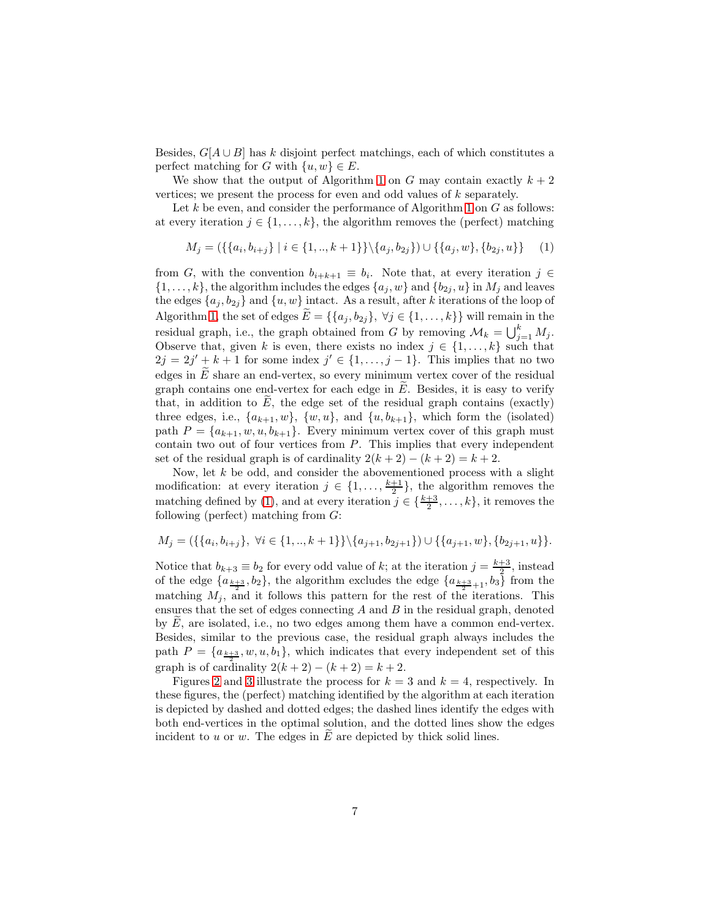Besides,  $G[A \cup B]$  has k disjoint perfect matchings, each of which constitutes a perfect matching for G with  $\{u, w\} \in E$ .

We show that the output of Algorithm [1](#page-2-0) on G may contain exactly  $k + 2$ vertices; we present the process for even and odd values of k separately.

Let k be even, and consider the performance of Algorithm [1](#page-2-0) on  $G$  as follows: at every iteration  $j \in \{1, ..., k\}$ , the algorithm removes the (perfect) matching

<span id="page-6-0"></span>
$$
M_j = (\{\{a_i, b_{i+j}\} \mid i \in \{1, ..., k+1\}\} \setminus \{a_j, b_{2j}\}) \cup \{\{a_j, w\}, \{b_{2j}, u\}\}\
$$
(1)

from G, with the convention  $b_{i+k+1} \equiv b_i$ . Note that, at every iteration  $j \in$  $\{1, \ldots, k\}$ , the algorithm includes the edges  $\{a_j, w\}$  and  $\{b_{2j}, u\}$  in  $M_j$  and leaves the edges  $\{a_j, b_{2j}\}\$  and  $\{u, w\}$  intact. As a result, after k iterations of the loop of Algorithm [1,](#page-2-0) the set of edges  $E = \{\{a_j, b_{2j}\}, \forall j \in \{1, ..., k\}\}\$  will remain in the residual graph, i.e., the graph obtained from G by removing  $\mathcal{M}_k = \bigcup_{j=1}^k M_j$ . Observe that, given k is even, there exists no index  $j \in \{1, ..., k\}$  such that  $2j = 2j' + k + 1$  for some index  $j' \in \{1, ..., j - 1\}$ . This implies that no two edges in  $E$  share an end-vertex, so every minimum vertex cover of the residual graph contains one end-vertex for each edge in  $E$ . Besides, it is easy to verify that, in addition to  $E$ , the edge set of the residual graph contains (exactly) three edges, i.e.,  $\{a_{k+1}, w\}$ ,  $\{w, u\}$ , and  $\{u, b_{k+1}\}$ , which form the (isolated) path  $P = \{a_{k+1}, w, u, b_{k+1}\}\$ . Every minimum vertex cover of this graph must contain two out of four vertices from  $P$ . This implies that every independent set of the residual graph is of cardinality  $2(k+2) - (k+2) = k+2$ .

Now, let  $k$  be odd, and consider the abovementioned process with a slight modification: at every iteration  $j \in \{1, \ldots, \frac{k+1}{2}\}\$ , the algorithm removes the matching defined by [\(1\)](#page-6-0), and at every iteration  $j \in \{\frac{k+3}{2}, \ldots, k\}$ , it removes the following (perfect) matching from  $G$ :

$$
M_j = (\{\{a_i, b_{i+j}\}, \forall i \in \{1, ..., k+1\}\} \setminus \{a_{j+1}, b_{2j+1}\}) \cup \{\{a_{j+1}, w\}, \{b_{2j+1}, u\}\}.
$$

Notice that  $b_{k+3} \equiv b_2$  for every odd value of k; at the iteration  $j = \frac{k+3}{2}$ , instead of the edge  $\{a_{\frac{k+3}{2}}, b_2\}$ , the algorithm excludes the edge  $\{a_{\frac{k+3}{2}+1}, b_3\}$  from the matching  $M_i$ , and it follows this pattern for the rest of the iterations. This ensures that the set of edges connecting  $A$  and  $B$  in the residual graph, denoted by  $E$ , are isolated, i.e., no two edges among them have a common end-vertex. Besides, similar to the previous case, the residual graph always includes the path  $P = \{a_{\frac{k+3}{2}}, w, u, b_1\}$ , which indicates that every independent set of this graph is of cardinality  $2(k + 2) - (k + 2) = k + 2$ .

Figures [2](#page-7-0) and [3](#page-8-0) illustrate the process for  $k = 3$  and  $k = 4$ , respectively. In these figures, the (perfect) matching identified by the algorithm at each iteration is depicted by dashed and dotted edges; the dashed lines identify the edges with both end-vertices in the optimal solution, and the dotted lines show the edges incident to  $u$  or  $w$ . The edges in  $E$  are depicted by thick solid lines.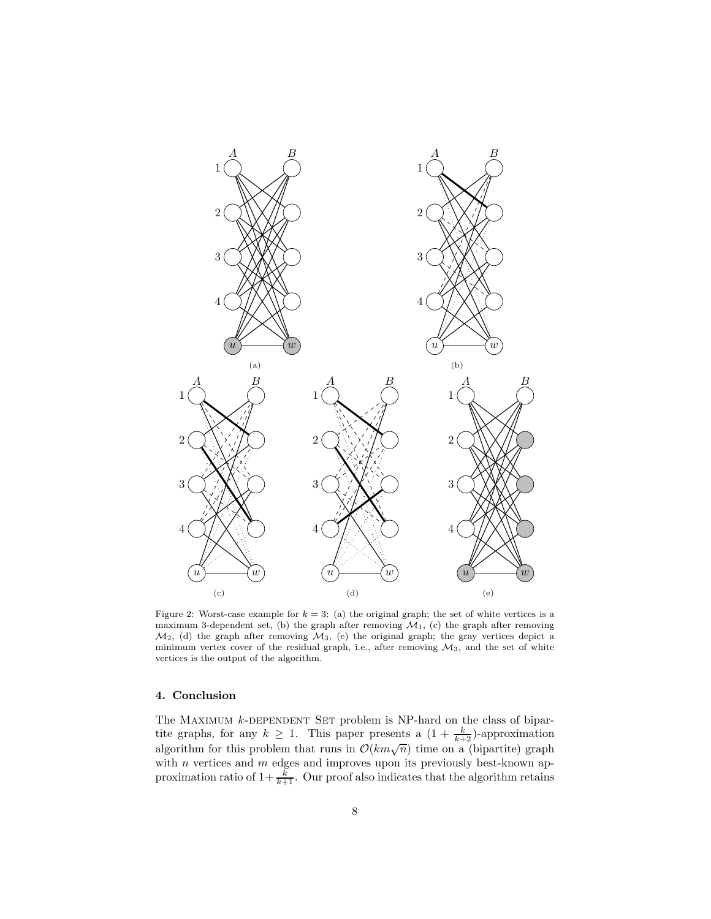<span id="page-7-0"></span>

Figure 2: Worst-case example for  $k = 3$ : (a) the original graph; the set of white vertices is a maximum 3-dependent set, (b) the graph after removing  $\overline{\mathcal{M}}_1$ , (c) the graph after removing  $\mathcal{M}_2$ , (d) the graph after removing  $\mathcal{M}_3$ , (e) the original graph; the gray vertices depict a minimum vertex cover of the residual graph, i.e., after removing  $\mathcal{M}_3$ , and the set of white vertices is the output of the algorithm.

# 4. Conclusion

The MAXIMUM  $k$ -DEPENDENT SET problem is NP-hard on the class of bipartite graphs, for any  $k \geq 1$ . This paper presents a  $(1 + \frac{k}{k+2})$ -approximation algorithm for this problem that runs in  $\mathcal{O}(km\sqrt{n})$  time on a (bipartite) graph with  $n$  vertices and  $m$  edges and improves upon its previously best-known approximation ratio of  $1+\frac{k}{k+1}$ . Our proof also indicates that the algorithm retains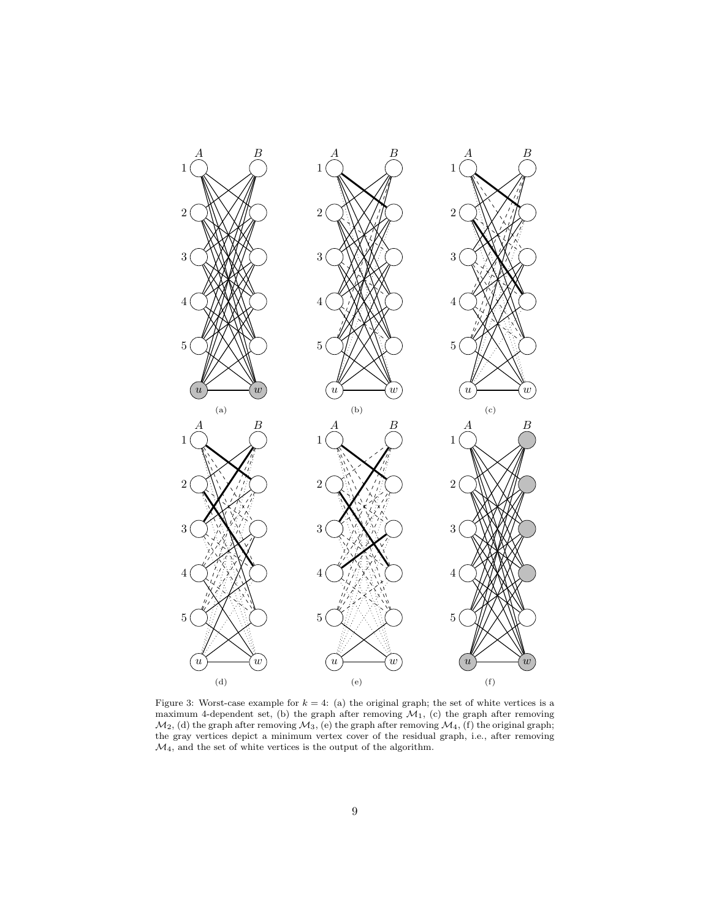<span id="page-8-0"></span>

Figure 3: Worst-case example for  $k = 4$ : (a) the original graph; the set of white vertices is a maximum 4-dependent set, (b) the graph after removing  $\mathcal{M}_1$ , (c) the graph after removing  $\mathcal{M}_2$ , (d) the graph after removing  $\mathcal{M}_3$ , (e) the graph after removing  $\mathcal{M}_4$ , (f) the original graph; the gray vertices depict a minimum vertex cover of the residual graph, i.e., after removing  $\mathcal{M}_4,$  and the set of white vertices is the output of the algorithm.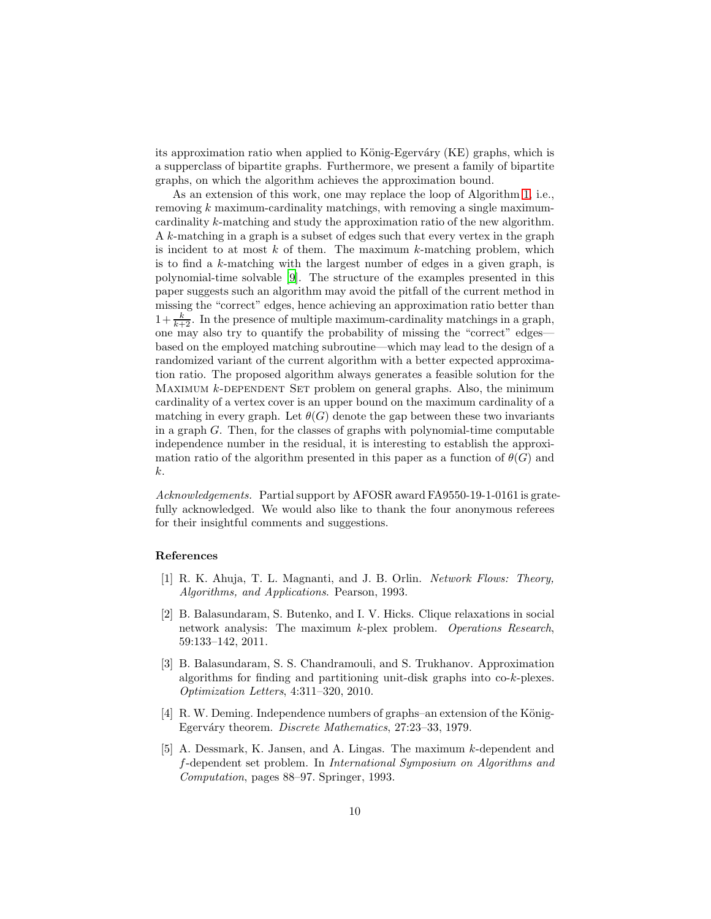its approximation ratio when applied to König-Egerváry (KE) graphs, which is a supperclass of bipartite graphs. Furthermore, we present a family of bipartite graphs, on which the algorithm achieves the approximation bound.

As an extension of this work, one may replace the loop of Algorithm [1,](#page-2-0) i.e., removing k maximum-cardinality matchings, with removing a single maximumcardinality k-matching and study the approximation ratio of the new algorithm. A k-matching in a graph is a subset of edges such that every vertex in the graph is incident to at most  $k$  of them. The maximum  $k$ -matching problem, which is to find a k-matching with the largest number of edges in a given graph, is polynomial-time solvable [\[9](#page-10-13)]. The structure of the examples presented in this paper suggests such an algorithm may avoid the pitfall of the current method in missing the "correct" edges, hence achieving an approximation ratio better than  $1+\frac{k}{k+2}$ . In the presence of multiple maximum-cardinality matchings in a graph, one may also try to quantify the probability of missing the "correct" edges based on the employed matching subroutine—which may lead to the design of a randomized variant of the current algorithm with a better expected approximation ratio. The proposed algorithm always generates a feasible solution for the MAXIMUM  $k$ -DEPENDENT SET problem on general graphs. Also, the minimum cardinality of a vertex cover is an upper bound on the maximum cardinality of a matching in every graph. Let  $\theta(G)$  denote the gap between these two invariants in a graph  $G$ . Then, for the classes of graphs with polynomial-time computable independence number in the residual, it is interesting to establish the approximation ratio of the algorithm presented in this paper as a function of  $\theta(G)$  and k.

*Acknowledgements.* Partial support by AFOSR award FA9550-19-1-0161 is gratefully acknowledged. We would also like to thank the four anonymous referees for their insightful comments and suggestions.

### References

- <span id="page-9-3"></span>[1] R. K. Ahuja, T. L. Magnanti, and J. B. Orlin. *Network Flows: Theory, Algorithms, and Applications*. Pearson, 1993.
- <span id="page-9-0"></span>[2] B. Balasundaram, S. Butenko, and I. V. Hicks. Clique relaxations in social network analysis: The maximum k-plex problem. *Operations Research*, 59:133–142, 2011.
- <span id="page-9-2"></span>[3] B. Balasundaram, S. S. Chandramouli, and S. Trukhanov. Approximation algorithms for finding and partitioning unit-disk graphs into co-k-plexes. *Optimization Letters*, 4:311–320, 2010.
- <span id="page-9-4"></span> $[4]$  R. W. Deming. Independence numbers of graphs–an extension of the König-Egerváry theorem. *Discrete Mathematics*, 27:23-33, 1979.
- <span id="page-9-1"></span>[5] A. Dessmark, K. Jansen, and A. Lingas. The maximum k-dependent and f-dependent set problem. In *International Symposium on Algorithms and Computation*, pages 88–97. Springer, 1993.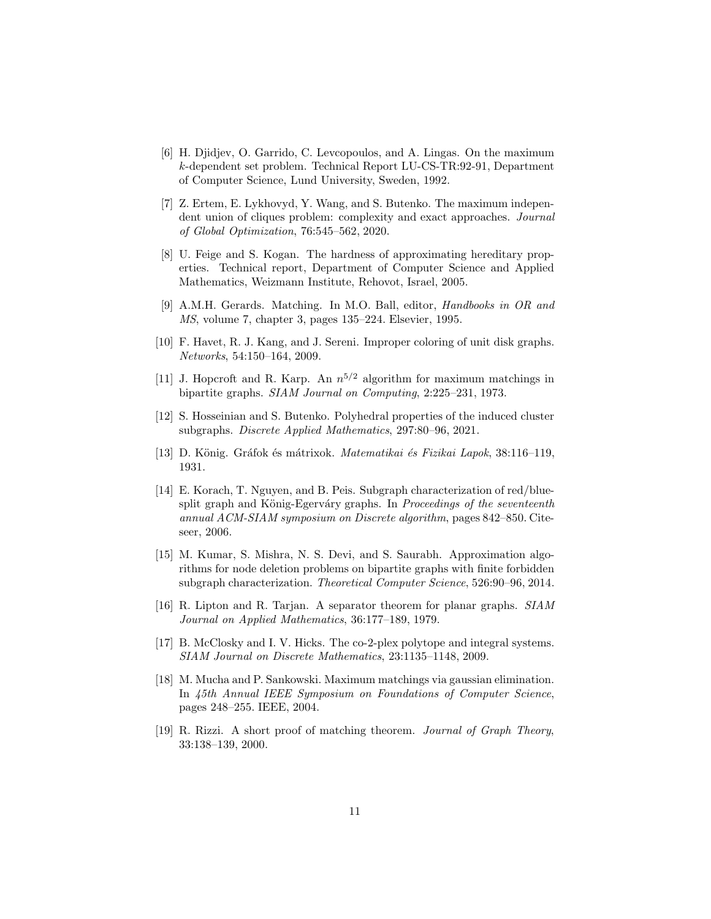- <span id="page-10-0"></span>[6] H. Djidjev, O. Garrido, C. Levcopoulos, and A. Lingas. On the maximum k-dependent set problem. Technical Report LU-CS-TR:92-91, Department of Computer Science, Lund University, Sweden, 1992.
- <span id="page-10-9"></span>[7] Z. Ertem, E. Lykhovyd, Y. Wang, and S. Butenko. The maximum independent union of cliques problem: complexity and exact approaches. *Journal of Global Optimization*, 76:545–562, 2020.
- <span id="page-10-2"></span>[8] U. Feige and S. Kogan. The hardness of approximating hereditary properties. Technical report, Department of Computer Science and Applied Mathematics, Weizmann Institute, Rehovot, Israel, 2005.
- <span id="page-10-13"></span>[9] A.M.H. Gerards. Matching. In M.O. Ball, editor, *Handbooks in OR and MS*, volume 7, chapter 3, pages 135–224. Elsevier, 1995.
- <span id="page-10-3"></span>[10] F. Havet, R. J. Kang, and J. Sereni. Improper coloring of unit disk graphs. *Networks*, 54:150–164, 2009.
- <span id="page-10-8"></span>[11] J. Hopcroft and R. Karp. An  $n^{5/2}$  algorithm for maximum matchings in bipartite graphs. *SIAM Journal on Computing*, 2:225–231, 1973.
- <span id="page-10-10"></span>[12] S. Hosseinian and S. Butenko. Polyhedral properties of the induced cluster subgraphs. *Discrete Applied Mathematics*, 297:80–96, 2021.
- <span id="page-10-6"></span>[13] D. K¨onig. Gr´afok ´es m´atrixok. *Matematikai ´es Fizikai Lapok*, 38:116–119, 1931.
- <span id="page-10-12"></span>[14] E. Korach, T. Nguyen, and B. Peis. Subgraph characterization of red/bluesplit graph and König-Egerváry graphs. In *Proceedings of the seventeenth annual ACM-SIAM symposium on Discrete algorithm*, pages 842–850. Citeseer, 2006.
- <span id="page-10-5"></span>[15] M. Kumar, S. Mishra, N. S. Devi, and S. Saurabh. Approximation algorithms for node deletion problems on bipartite graphs with finite forbidden subgraph characterization. *Theoretical Computer Science*, 526:90–96, 2014.
- <span id="page-10-4"></span>[16] R. Lipton and R. Tarjan. A separator theorem for planar graphs. *SIAM Journal on Applied Mathematics*, 36:177–189, 1979.
- <span id="page-10-1"></span>[17] B. McClosky and I. V. Hicks. The co-2-plex polytope and integral systems. *SIAM Journal on Discrete Mathematics*, 23:1135–1148, 2009.
- <span id="page-10-11"></span>[18] M. Mucha and P. Sankowski. Maximum matchings via gaussian elimination. In *45th Annual IEEE Symposium on Foundations of Computer Science*, pages 248–255. IEEE, 2004.
- <span id="page-10-7"></span>[19] R. Rizzi. A short proof of matching theorem. *Journal of Graph Theory*, 33:138–139, 2000.